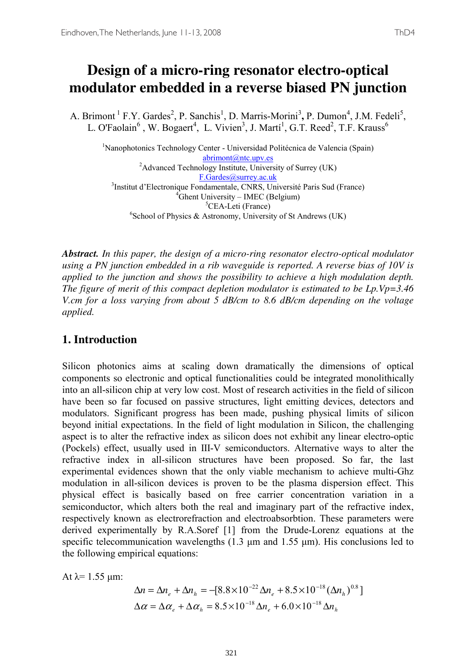A. Brimont <sup>1</sup> F.Y. Gardes<sup>2</sup>, P. Sanchis<sup>1</sup>, D. Marris-Morini<sup>3</sup>, P. Dumon<sup>4</sup>, J.M. Fedeli<sup>5</sup>, L. O'Faolain<sup>6</sup>, W. Bogaert<sup>4</sup>, L. Vivien<sup>3</sup>, J. Martí<sup>1</sup>, G.T. Reed<sup>2</sup>, T.F. Krauss<sup>6</sup>

<sup>1</sup>Nanophotonics Technology Center - Universidad Politécnica de Valencia (Spain) abrimont@ntc.upv.es<br>
<sup>2</sup>Advanced Technology Institute, University of Surrey (UK) <u>F.Gardes@surrey.ac.uk</u><br><sup>3</sup>Institut d'Electronique Fondamentale CNRS LIn Institut d'Electronique Fondamentale, CNRS, Université Paris Sud (France) <sup>4</sup>  ${}^{4}$ Ghent University – IMEC (Belgium)<br> ${}^{5}$ CEA-Leti (France) <sup>3</sup>CEA-Leti (France)<br>
<sup>6</sup>School of Physics & Astronomy, University of St Andrews (UK)

*Abstract. In this paper, the design of a micro-ring resonator electro-optical modulator using a PN junction embedded in a rib waveguide is reported. A reverse bias of 10V is applied to the junction and shows the possibility to achieve a high modulation depth. The figure of merit of this compact depletion modulator is estimated to be Lp.Vp=3.46 V.cm for a loss varying from about 5 dB/cm to 8.6 dB/cm depending on the voltage applied.* 

### **1. Introduction**

Silicon photonics aims at scaling down dramatically the dimensions of optical components so electronic and optical functionalities could be integrated monolithically into an all-silicon chip at very low cost. Most of research activities in the field of silicon have been so far focused on passive structures, light emitting devices, detectors and modulators. Significant progress has been made, pushing physical limits of silicon beyond initial expectations. In the field of light modulation in Silicon, the challenging aspect is to alter the refractive index as silicon does not exhibit any linear electro-optic (Pockels) effect, usually used in III-V semiconductors. Alternative ways to alter the refractive index in all-silicon structures have been proposed. So far, the last experimental evidences shown that the only viable mechanism to achieve multi-Ghz modulation in all-silicon devices is proven to be the plasma dispersion effect. This physical effect is basically based on free carrier concentration variation in a semiconductor, which alters both the real and imaginary part of the refractive index, respectively known as electrorefraction and electroabsorbtion. These parameters were derived experimentally by R.A.Soref [1] from the Drude-Lorenz equations at the specific telecommunication wavelengths  $(1.3 \text{ µm} \text{ and } 1.55 \text{ µm})$ . His conclusions led to the following empirical equations:

At  $\lambda$ = 1.55 µm:

$$
\Delta n = \Delta n_e + \Delta n_h = -[8.8 \times 10^{-22} \Delta n_e + 8.5 \times 10^{-18} (\Delta n_h)^{0.8}]
$$
  

$$
\Delta \alpha = \Delta \alpha_e + \Delta \alpha_h = 8.5 \times 10^{-18} \Delta n_e + 6.0 \times 10^{-18} \Delta n_h
$$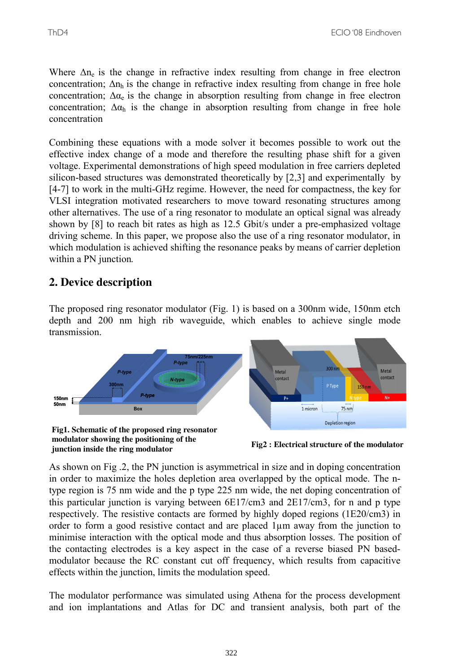Where  $\Delta n_e$  is the change in refractive index resulting from change in free electron concentration;  $\Delta n_h$  is the change in refractive index resulting from change in free hole concentration;  $\Delta \alpha_e$  is the change in absorption resulting from change in free electron concentration;  $\Delta \alpha_h$  is the change in absorption resulting from change in free hole concentration

Combining these equations with a mode solver it becomes possible to work out the effective index change of a mode and therefore the resulting phase shift for a given voltage. Experimental demonstrations of high speed modulation in free carriers depleted silicon-based structures was demonstrated theoretically by [2,3] and experimentally by [4-7] to work in the multi-GHz regime. However, the need for compactness, the key for VLSI integration motivated researchers to move toward resonating structures among other alternatives. The use of a ring resonator to modulate an optical signal was already shown by [8] to reach bit rates as high as 12.5 Gbit/s under a pre-emphasized voltage driving scheme. In this paper, we propose also the use of a ring resonator modulator, in which modulation is achieved shifting the resonance peaks by means of carrier depletion within a PN junction*.*

### **2. Device description**

The proposed ring resonator modulator (Fig. 1) is based on a 300nm wide, 150nm etch depth and 200 nm high rib waveguide, which enables to achieve single mode transmission.



As shown on Fig .2, the PN junction is asymmetrical in size and in doping concentration in order to maximize the holes depletion area overlapped by the optical mode. The ntype region is 75 nm wide and the p type 225 nm wide, the net doping concentration of this particular junction is varying between 6E17/cm3 and 2E17/cm3, for n and p type respectively. The resistive contacts are formed by highly doped regions (1E20/cm3) in order to form a good resistive contact and are placed 1µm away from the junction to minimise interaction with the optical mode and thus absorption losses. The position of the contacting electrodes is a key aspect in the case of a reverse biased PN basedmodulator because the RC constant cut off frequency, which results from capacitive effects within the junction, limits the modulation speed.

The modulator performance was simulated using Athena for the process development and ion implantations and Atlas for DC and transient analysis, both part of the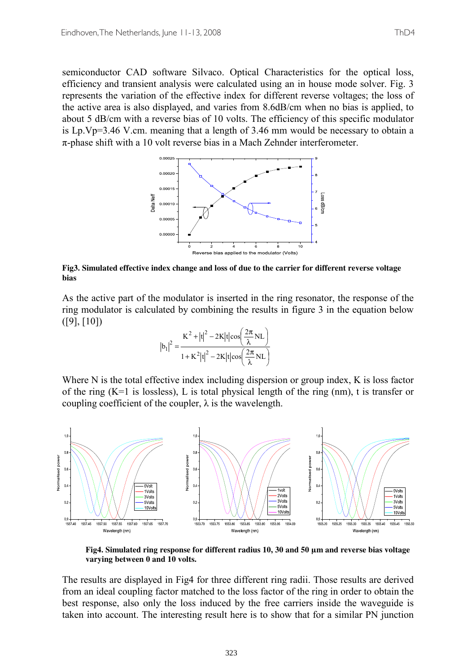semiconductor CAD software Silvaco. Optical Characteristics for the optical loss, efficiency and transient analysis were calculated using an in house mode solver. Fig. 3 represents the variation of the effective index for different reverse voltages; the loss of the active area is also displayed, and varies from 8.6dB/cm when no bias is applied, to about 5 dB/cm with a reverse bias of 10 volts. The efficiency of this specific modulator is Lp.Vp=3.46 V.cm. meaning that a length of 3.46 mm would be necessary to obtain a  $\pi$ -phase shift with a 10 volt reverse bias in a Mach Zehnder interferometer.



**Fig3. Simulated effective index change and loss of due to the carrier for different reverse voltage bias** 

As the active part of the modulator is inserted in the ring resonator, the response of the ring modulator is calculated by combining the results in figure 3 in the equation below ([9], [10])

$$
|b_1|^2 = \frac{K^2 + |t|^2 - 2K|t|\cos\left(\frac{2\pi}{\lambda}NL\right)}{1 + K^2|t|^2 - 2K|t|\cos\left(\frac{2\pi}{\lambda}NL\right)}
$$

Where N is the total effective index including dispersion or group index, K is loss factor of the ring  $(K=1)$  is lossless), L is total physical length of the ring (nm), t is transfer or coupling coefficient of the coupler,  $\lambda$  is the wavelength.



**Fig4. Simulated ring response for different radius 10, 30 and 50 µm and reverse bias voltage varying between 0 and 10 volts.** 

The results are displayed in Fig4 for three different ring radii. Those results are derived from an ideal coupling factor matched to the loss factor of the ring in order to obtain the best response, also only the loss induced by the free carriers inside the waveguide is taken into account. The interesting result here is to show that for a similar PN junction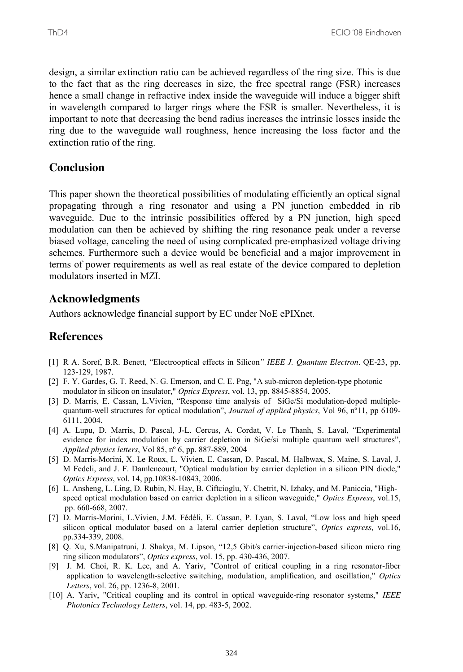design, a similar extinction ratio can be achieved regardless of the ring size. This is due to the fact that as the ring decreases in size, the free spectral range (FSR) increases hence a small change in refractive index inside the waveguide will induce a bigger shift in wavelength compared to larger rings where the FSR is smaller. Nevertheless, it is important to note that decreasing the bend radius increases the intrinsic losses inside the ring due to the waveguide wall roughness, hence increasing the loss factor and the extinction ratio of the ring.

# **Conclusion**

This paper shown the theoretical possibilities of modulating efficiently an optical signal propagating through a ring resonator and using a PN junction embedded in rib waveguide. Due to the intrinsic possibilities offered by a PN junction, high speed modulation can then be achieved by shifting the ring resonance peak under a reverse biased voltage, canceling the need of using complicated pre-emphasized voltage driving schemes. Furthermore such a device would be beneficial and a major improvement in terms of power requirements as well as real estate of the device compared to depletion modulators inserted in MZI.

# **Acknowledgments**

Authors acknowledge financial support by EC under NoE ePIXnet.

# **References**

- [1] R A. Soref, B.R. Benett, "Electrooptical effects in Silicon*" IEEE J. Quantum Electron*. QE-23, pp. 123-129, 1987.
- [2] F. Y. Gardes, G. T. Reed, N. G. Emerson, and C. E. Png, "A sub-micron depletion-type photonic modulator in silicon on insulator," *Optics Express*, vol. 13, pp. 8845-8854, 2005.
- [3] D. Marris, E. Cassan, L.Vivien, "Response time analysis of SiGe/Si modulation-doped multiplequantum-well structures for optical modulation", *Journal of applied physics*, Vol 96, nº11, pp 6109- 6111, 2004.
- [4] A. Lupu, D. Marris, D. Pascal, J-L. Cercus, A. Cordat, V. Le Thanh, S. Laval, "Experimental evidence for index modulation by carrier depletion in SiGe/si multiple quantum well structures", *Applied physics letters*, Vol 85, nº 6, pp. 887-889, 2004
- [5] D. Marris-Morini, X. Le Roux, L. Vivien, E. Cassan, D. Pascal, M. Halbwax, S. Maine, S. Laval, J. M Fedeli, and J. F. Damlencourt, "Optical modulation by carrier depletion in a silicon PIN diode," *Optics Express*, vol. 14, pp.10838-10843, 2006.
- [6] L. Ansheng, L. Ling, D. Rubin, N. Hay, B. Ciftcioglu, Y. Chetrit, N. Izhaky, and M. Paniccia, "Highspeed optical modulation based on carrier depletion in a silicon waveguide," *Optics Express*, vol.15, pp. 660-668, 2007.
- [7] D. Marris-Morini, L.Vivien, J.M. Fédéli, E. Cassan, P. Lyan, S. Laval, "Low loss and high speed silicon optical modulator based on a lateral carrier depletion structure", *Optics express*, vol.16, pp.334-339, 2008.
- [8] Q. Xu, S.Manipatruni, J. Shakya, M. Lipson, "12,5 Gbit/s carrier-injection-based silicon micro ring ring silicon modulators", *Optics express*, vol. 15, pp. 430-436, 2007.
- [9] J. M. Choi, R. K. Lee, and A. Yariv, "Control of critical coupling in a ring resonator-fiber application to wavelength-selective switching, modulation, amplification, and oscillation," *Optics Letters*, vol. 26, pp. 1236-8, 2001.
- [10] A. Yariv, "Critical coupling and its control in optical waveguide-ring resonator systems," *IEEE Photonics Technology Letters*, vol. 14, pp. 483-5, 2002.